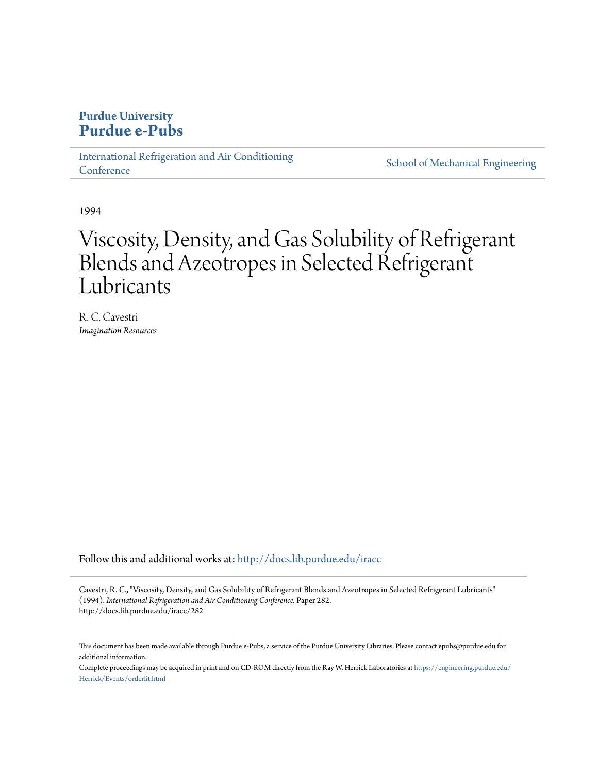## **Purdue University [Purdue e-Pubs](http://docs.lib.purdue.edu?utm_source=docs.lib.purdue.edu%2Firacc%2F282&utm_medium=PDF&utm_campaign=PDFCoverPages)**

[International Refrigeration and Air Conditioning](http://docs.lib.purdue.edu/iracc?utm_source=docs.lib.purdue.edu%2Firacc%2F282&utm_medium=PDF&utm_campaign=PDFCoverPages) **[Conference](http://docs.lib.purdue.edu/iracc?utm_source=docs.lib.purdue.edu%2Firacc%2F282&utm_medium=PDF&utm_campaign=PDFCoverPages)** 

[School of Mechanical Engineering](http://docs.lib.purdue.edu/me?utm_source=docs.lib.purdue.edu%2Firacc%2F282&utm_medium=PDF&utm_campaign=PDFCoverPages)

1994

# Viscosity, Density, and Gas Solubility of Refrigerant Blends and Azeotropes in Selected Refrigerant Lubricants

R. C. Cavestri *Imagination Resources*

Follow this and additional works at: [http://docs.lib.purdue.edu/iracc](http://docs.lib.purdue.edu/iracc?utm_source=docs.lib.purdue.edu%2Firacc%2F282&utm_medium=PDF&utm_campaign=PDFCoverPages)

Cavestri, R. C., "Viscosity, Density, and Gas Solubility of Refrigerant Blends and Azeotropes in Selected Refrigerant Lubricants" (1994). *International Refrigeration and Air Conditioning Conference.* Paper 282. http://docs.lib.purdue.edu/iracc/282

This document has been made available through Purdue e-Pubs, a service of the Purdue University Libraries. Please contact epubs@purdue.edu for additional information.

Complete proceedings may be acquired in print and on CD-ROM directly from the Ray W. Herrick Laboratories at [https://engineering.purdue.edu/](https://engineering.purdue.edu/Herrick/Events/orderlit.html) [Herrick/Events/orderlit.html](https://engineering.purdue.edu/Herrick/Events/orderlit.html)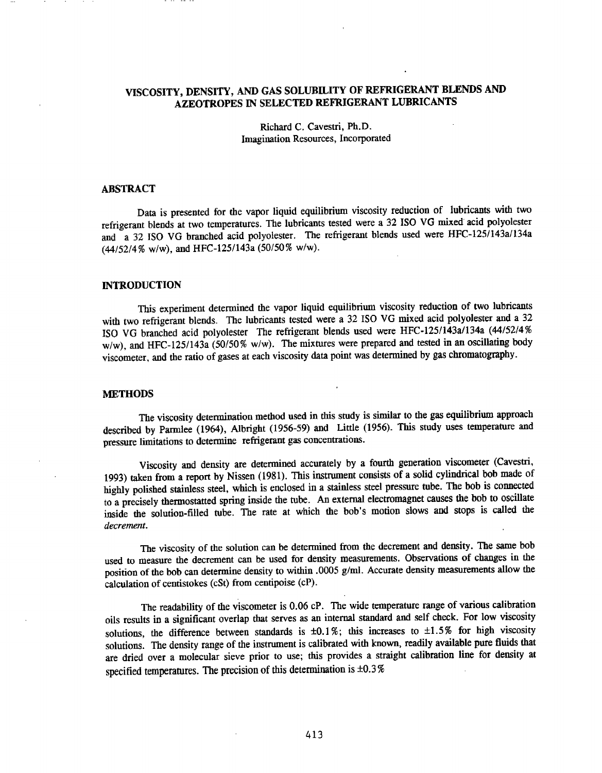### VISCOSITY, DENSITY, AND GAS SOLUBILITY OF REFRIGERANT BLENDS AND AZEOTROPES IN SELECTED REFRIGERANT LUBRICANTS

#### Richard C. Cavestri, Ph.D. Imagination Resources, Incorporated

#### ABSTRACT

Data is presented for the vapor liquid equilibrium viscosity reduction of lubricants with two refrigerant blends at two temperatures. The lubricants tested were a 32 ISO VG mixed acid polyolester and a 32 ISO VG branched acid polyolester. The refrigerant blends used were HFC-125/143a/134a (44/52/4% w/w), and HFC-125/143a (50/50% w/w).

#### **INTRODUCTION**

This experiment detennined the vapor liquid equilibrium viscosity reduction of two lubricants with two refrigerant blends. The lubricants tested were a 32 ISO VG mixed acid polyolester and a 32 ISO VG branched acid polyolester The refrigerant blends used were HFC-125/143a/134a (44/52/4% w/w), and HFC-125/143a (50/50% w/w). The mixtures were prepared and tested in an oscillating body viscometer, and the ratio of gases at each viscosity data point was determined by gas chromatography.

#### **METHODS**

The viscosity determination method used in this study is similar to the gas equilibrium approach described by Parmlee (1964), Albright (1956-59) and Little (1956). This study uses temperature and pressure limitations to detennine refrigerant gas concentrations.

Viscosity and density are determined accurately by a fourth generation viscometer (Cavestri, 1993) taken from a report by Nissen (1981). This instrument consists of a solid cylindrical bob made of highly polished stainless steel, which is enclosed in a stainless steel pressure tube. The bob is connected to a precisely thermostatted spring inside the tube. An external electromagnet causes the bob to oscillate inside the solution-filled tube. The rate at which the bob's motion slows and stops is called the *decrement.* 

The viscosity of the solution can be determined from the decrement and density. The same bob used to measure the decrement can be used for density measurements. Observations of changes in the position of the bob can determine density to within .0005 g/ml. Accurate density measurements allow the calculation of centistokes (eSt) from centipoise (cP).

The readability of the viscometer is 0.06 cP. The wide temperature range of various calibration oils results in a significant overlap that serves as an internal standard and self check. For low viscosity solutions, the difference between standards is  $\pm 0.1\%$ ; this increases to  $\pm 1.5\%$  for high viscosity solutions. The density range of the instrument is calibrated with known, readily available pure fluids that are dried over a molecular sieve prior to use; this provides a straight calibration line for density at specified temperatures. The precision of this determination is  $\pm 0.3\%$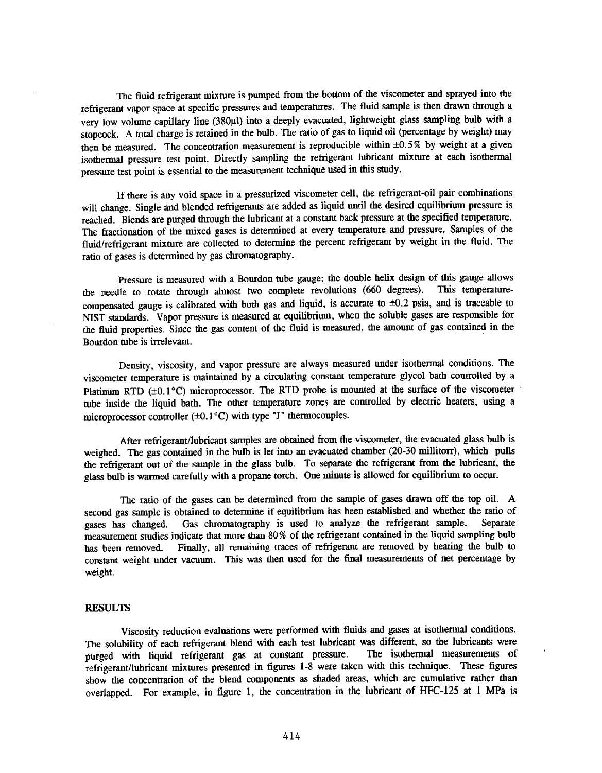The fluid refrigerant mixture is pumped from the bottom of the viscometer and sprayed into the refrigerant vapor space at specific pressures and temperatures. The fluid sample is then drawn through a very low volume capillary line (380µl) into a deeply evacuated, lightweight glass sampling bulb with a stopcock. A total charge is retained in the bulb. The ratio of gas to liquid oil (percentage by weight) may then be measured. The concentration measurement is reproducible within ±0.5% by weight at a given isothermal pressure test point. Directly sampling the refrigerant lubricant mixture at each isothermal pressure test point is essential to the measurement technique used in this study:

If there is any void space in a pressurized viscometer cell, the refrigerant-oil pair combinations will change. Single and blended refrigerants are added as liquid until the desired equilibrium pressure is reached. Blends are purged through the lubricant at a constant back pressure at the specified temperature. The fractionation of the mixed gases is determined at every temperature and pressure. Samples of the fluid/refrigerant mixture are collected to determine the percent refrigerant by weight in the fluid. The ratio of gases is determined by gas chromatography.

Pressure is measured with a Bourdon tube gauge; the double helix design of this gauge allows<br>the to rotate through almost two complete revolutions (660 degrees). This temperaturethe needle to rotate through almost two complete revolutions (660 degrees). compensated gauge is calibrated with both gas and liquid, is accurate to  $\pm 0.2$  psia, and is traceable to NIST standards. Vapor pressure is measured at equilibrium, when the soluble gases are responsible for the fluid properties. Since the gas content of the fluid is measured, the amount of gas contained in the Bourdon tube is irrelevant.

Density, viscosity, and vapor pressure are always measured under isothermal conditions. The viscometer temperature is maintained by a circulating constant temperature glycol bath controlled by a Platinum RTD ( $\pm 0.1$ °C) microprocessor. The RTD probe is mounted at the surface of the viscometer  $\pm$ tube inside the liquid bath. The other temperature zones are controlled by electric heaters, using a microprocessor controller  $(\pm 0.1^{\circ}C)$  with type "J" thermocouples.

After refrigerant/lubricant samples are obtained from the viscometer, the evacuated glass bulb is weighed. The gas contained in the bulb is let into an evacuated chamber (20-30 millitorr), which pulls the refrigerant out of the sample in the glass bulb. To separate the refrigerant from the lubricant, the <sup>g</sup>lass bulb is warmed carefully with a propane torch. One minute is allowed for equilibrium to occur.

The ratio of the gases can be determined from the sample of gases drawn off the top oiL <sup>A</sup> second gas sample is obtained to determine if equilibrium has been established and whether the ratio of gases has changed. Gas chromatography is used to analyze the refrigerant sample. Separate Gas chromatography is used to analyze the refrigerant sample. measurement studies indicate that more than 80% of the refrigerant contained in the liquid sampling bulb has been removed. Finally, all remaining traces of refrigerant are removed by heating the bulb to constant weight under vacuum. This was then used for the final measurements of net percentage by weight.

#### **RESULTS**

Viscosity reduction evaluations were performed with fluids and gases at isothermal conditions. The solubility of each refrigerant blend with each test lubricant was different, so the lubricants were nurged with liquid refrigerant gas at constant pressure. The isothermal measurements of purged with liquid refrigerant gas at constant pressure. refrigerant/lubricant mixtures presented in figures 1-8 were taken with this technique. These figures show the concentration of the blend components as shaded areas, which are cumulative rather than overlapped. For example, in figure 1, the concentration in the lubricant of HFC-125 at 1 MPa is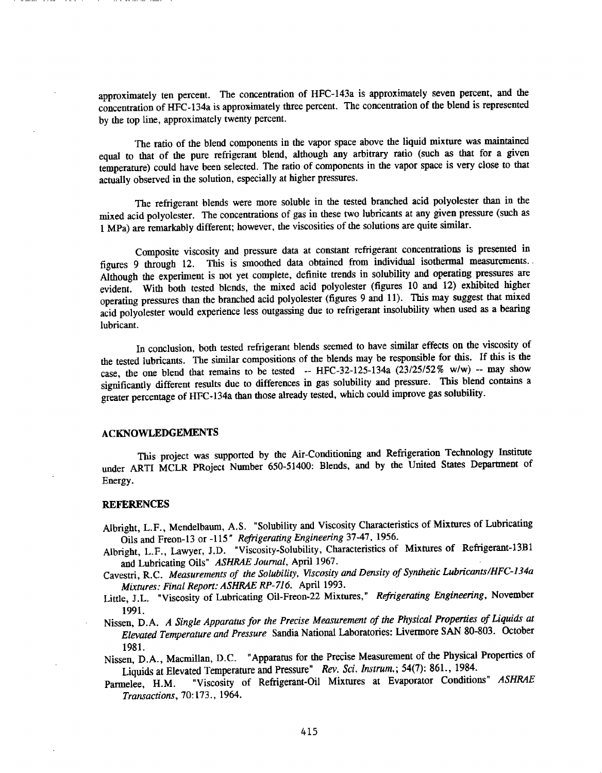approximately ten percent. The concentration of HFC-143a is approximately seven percent, and the concentration of HFC-134a is approximately three percent. The concentration of the blend is represented by the top line, approximately twenty percent.

The ratio of the blend components in the vapor space above the liquid mixture was maintained equal to that of the pure refrigerant blend, although any arbitrary ratio (such as that for a given temperature) could have been selected. The ratio of components in the vapor space is very close to that actually observed in the solution, especially at higher pressures.

The refrigerant blends were more soluble in the tested branched acid polyolester than in the mixed acid polyolester. The concentrations of gas in these two lubricants at any given pressure (such as 1 MPa) are remarkably different; however, the viscosities of the solutions are quite similar.

Composite viscosity and pressure data at constant refrigerant concentrations is presented in figures 9 through 12. This is smoothed data obtained from individual isothermal measurements .. Although the experiment is not yet complete, definite trends in solubility and operating pressures are evident. With both tested blends, the mixed acid polyolester (figures 10 and 12) exhibited higher operating pressures than the branched acid polyolester (figures 9 and 11). This may suggest that mixed acid polyolester would experience less outgassing due to refrigerant insolubility when used as a bearing lubricant.

In conclusion, both tested refrigerant blends seemed to have similar effects on the viscosity of the tested lubricants. The similar compositions of the blends may be responsible for this. If this is the case, the one blend that remains to be tested -- HFC-32-125-134a  $(23/25/52\% \text{ w/w})$  -- may show significantly different results due to differences in gas solubility and pressure. This blend contains a greater percentage of HFC-134a than those already tested, which could improve gas solubility.

#### ACKNOWLEDGEMENTS

This project was supported by the Air-Conditioning and Refrigeration Technology Institute under ARTI MCLR PRoject Number 650-51400: Blends, and by the United States Department of Energy.

#### **REFERENCES**

- Albright, L.F., Mendelbaum, A.S. "Solubility and Viscosity Characteristics of Mixtures of Lubricating Oils and Freon-13 or -115 *n Refrigerating Engineering* 37-47, 1956.
- Albright, L.F., Lawyer, J.D. "Viscosity-Solubility, Characteristics of Mixtures of Refrigerant-13Bl and Lubricating Oils" *ASHRAE Journal,* April 1967.
- Cavestri, R.C. *Measurements of the Solubility, Viscosity and Density of Synthetic Lubricants/HFC-134a Mixtures: Final Report: ASHRAE RP-716.* April 1993.
- Little, J.L. "Viscosity of Lubricating Oil-Freon-22 Mixtures," *Refrigerating Engineering,* November 1991.
- Nissen, D.A. *A Single Apparatus for the Precise Measurement of the Physical Properties of Liquids at Elevated Temperature and Pressure* Sandia National Laboratories: Livermore SAN 80-803. October 1981.
- Nissen, D.A., Macmillan, D.C. "Apparatus for the Precise Measurement of the Physical Properties of Liquids at Elevated Temperature and Pressure" *Rev. Sci. lnstrum.;* 54(7): 861., 1984.
- Parmelee, H.M. "Viscosity of Refrigerant-Oil Mixtures at Evaporator Conditions" *ASHRAE Transactions,* 70:173., 1964.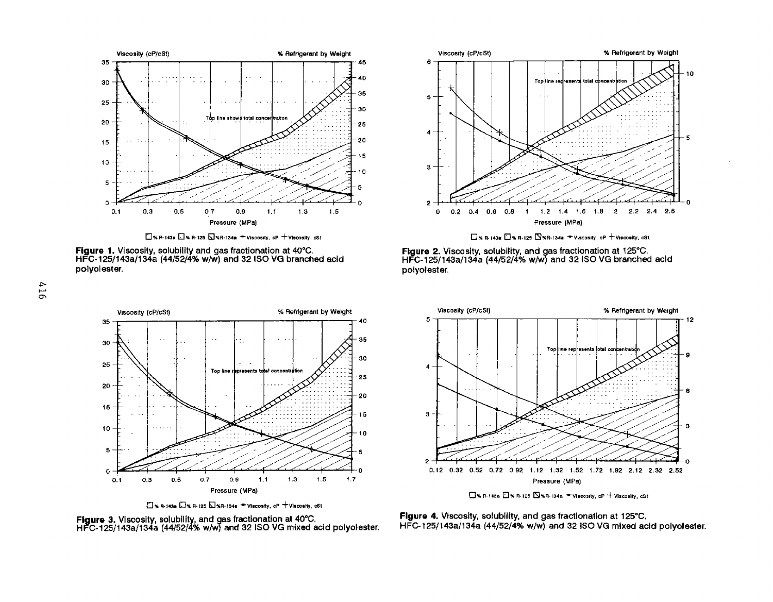

 $\square$  % R-143a  $\square$  % R-125  $\square$  %R-134a  $\blacktriangleright$  Viscosity, cP  $+$  Viscosity, cSt

**Figure 1.** Viscosity, solubility and gas fractionation at 40"C. HFC·125/143a/134a (44/52/4% w/W) and 32150 VG branched acid polyolester.















 $\Box$ % R-143o  $\Box$ % R-125  $\Box$ %R-134a  $\Rightarrow$  Viscosity, cP  $+$  Viscosity, cSt

**Figure 4.** VIscosity, solubility, and gas fractionation at 125"C. HFC-l25/143a/134a (44/52/4% w/W) and 32180 VG mixed acid polyolester.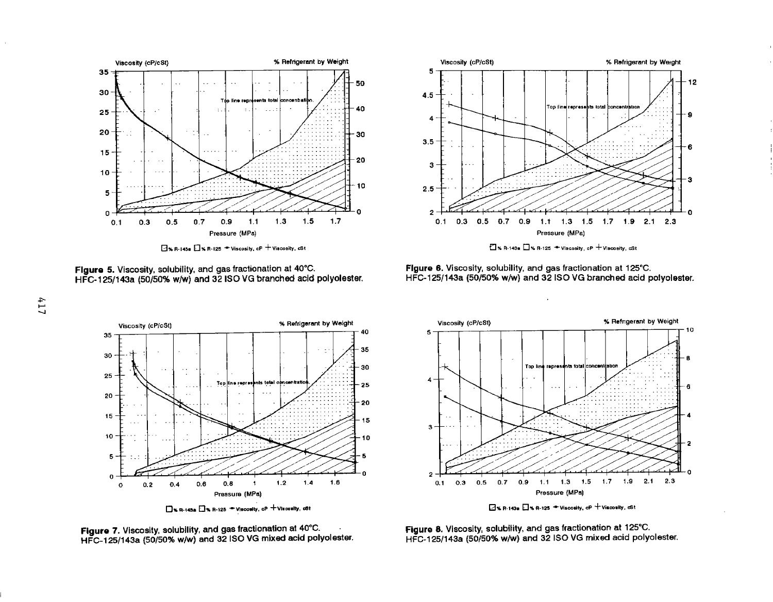

 $\Box$  y, R·I4Sa  $\Box$  y, R·I25  $\blacktriangleright$  Viscosity, cP  $+$  Viscosity, cSt







**Figure** 6. Viscosity, solubility, and gas fractionation at 125"C. HFC-125/143a (50/50% w/w) and 32 ISO VG branched acid polyolester.







[],. R·143o 0% R-12!1 - Viocoolly, *d'* +vioooolly. cSI

**Figure 8.** Viscosity, solubility, and gas fractionation at 125"C. HFC-125/143a (50/50% w/w) and 32 ISO VG mixed acid polyolester.